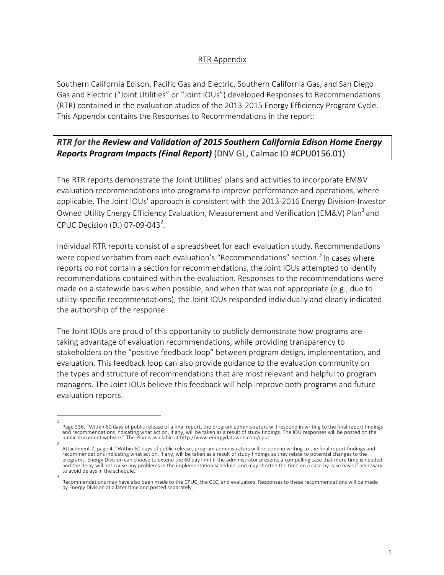## RTR Appendix

Southern California Edison, Pacific Gas and Electric, Southern California Gas, and San Diego Gas and Electric ("Joint Utilities" or "Joint IOUs") developed Responses to Recommendations (RTR) contained in the evaluation studies of the 2013-2015 Energy Efficiency Program Cycle. This Appendix contains the Responses to Recommendations in the report:

## **RTR** for the Review and Validation of 2015 Southern California Edison Home Energy *Reports Program Impacts (Final Report)* (DNV GL, Calmac ID #CPU0156.01)

The RTR reports demonstrate the Joint Utilities' plans and activities to incorporate EM&V evaluation recommendations into programs to improve performance and operations, where applicable. The Joint IOUs' approach is consistent with the 2013-2016 Energy Division-Investor Owned Utility Energy Efficiency Evaluation, Measurement and Verification (EM&V) Plan<sup>1</sup> and CPUC Decision (D.) 07-09-043<sup>2</sup>.

Individual RTR reports consist of a spreadsheet for each evaluation study. Recommendations were copied verbatim from each evaluation's "Recommendations" section.<sup>3</sup> In cases where reports do not contain a section for recommendations, the Joint IOUs attempted to identify recommendations contained within the evaluation. Responses to the recommendations were made on a statewide basis when possible, and when that was not appropriate  $(e.g.,$  due to utility-specific recommendations), the Joint IOUs responded individually and clearly indicated the authorship of the response.

The Joint IOUs are proud of this opportunity to publicly demonstrate how programs are taking advantage of evaluation recommendations, while providing transparency to stakeholders on the "positive feedback loop" between program design, implementation, and evaluation. This feedback loop can also provide guidance to the evaluation community on the types and structure of recommendations that are most relevant and helpful to program managers. The Joint IOUs believe this feedback will help improve both programs and future evaluation reports.

<sup>1</sup>  Page 336, "Within 60 days of public release of a final report, the program administrators will respond in writing to the final report findings and recommendations indicating what action, if any, will be taken as a result of study findings. The IOU responses will be posted on the public document website." The Plan is available at http://www.energydataweb.com/cpuc.

<sup>2</sup>  Attachment 7, page 4, "Within 60 days of public release, program administrators will respond in writing to the final report findings and recommendations indicating what action, if any, will be taken as a result of study findings as they relate to potential changes to the programs. Energy Division can choose to extend the 60 day limit if the administrator presents a compelling case that more time is needed and the delay will not cause any problems in the implementation schedule, and may shorten the time on a case-by-case basis if necessary to avoid delays in the schedule. 3 

Recommendations may have also been made to the CPUC, the CEC, and evaluators. Responses to these recommendations will be made by Energy Division at a later time and posted separately.